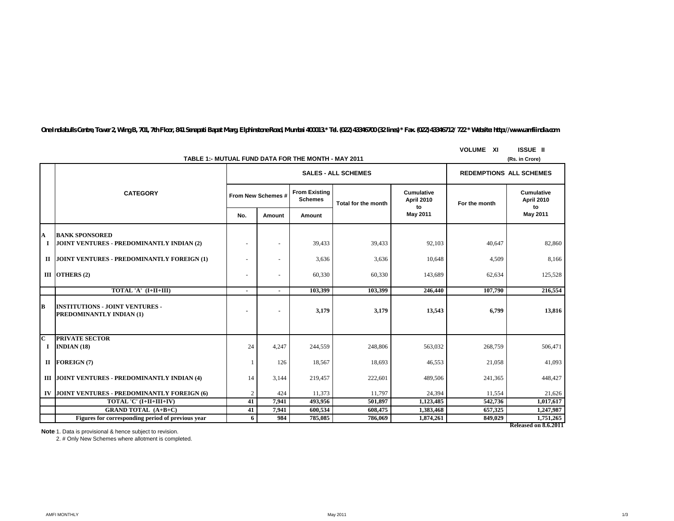*One Indiabulls Centre, Tower 2, Wing B, 701, 7th Floor, 841 Senapati Bapat Marg, Elphinstone Road, Mumbai 400013.\* Tel. (022) 43346700 (32 lines) \* Fax. (022) 43346712/ 722 \* Website: http://www.amfiindia.com*

|               | TABLE 1:- MUTUAL FUND DATA FOR THE MONTH - MAY 2011                | <b>VOLUME XI</b> | <b>ISSUE II</b><br>(Rs. in Crore) |                                        |                     |                                |               |                                |
|---------------|--------------------------------------------------------------------|------------------|-----------------------------------|----------------------------------------|---------------------|--------------------------------|---------------|--------------------------------|
|               |                                                                    |                  |                                   | <b>SALES - ALL SCHEMES</b>             |                     | <b>REDEMPTIONS ALL SCHEMES</b> |               |                                |
|               | <b>CATEGORY</b>                                                    |                  | From New Schemes #                | <b>From Existing</b><br><b>Schemes</b> | Total for the month | Cumulative<br>April 2010<br>to | For the month | Cumulative<br>April 2010<br>to |
|               |                                                                    | No.              | Amount                            | Amount                                 |                     | May 2011                       |               | May 2011                       |
| A<br>1        | <b>BANK SPONSORED</b><br>JOINT VENTURES - PREDOMINANTLY INDIAN (2) |                  | $\sim$                            | 39,433                                 | 39,433              | 92,103                         | 40,647        | 82,860                         |
| $\mathbf{H}$  | JOINT VENTURES - PREDOMINANTLY FOREIGN (1)                         |                  | $\sim$                            | 3,636                                  | 3,636               | 10,648                         | 4,509         | 8,166                          |
|               | III OTHERS $(2)$                                                   |                  | $\sim$                            | 60,330                                 | 60,330              | 143,689                        | 62,634        | 125,528                        |
|               | TOTAL 'A' (I+II+III)                                               | ٠                | ٠.                                | 103,399                                | 103,399             | 246,440                        | 107,790       | 216,554                        |
| B             | <b>INSTITUTIONS - JOINT VENTURES -</b><br>PREDOMINANTLY INDIAN (1) |                  | ٠                                 | 3,179                                  | 3,179               | 13,543                         | 6,799         | 13,816                         |
| C<br>$\bf{I}$ | <b>PRIVATE SECTOR</b><br><b>INDIAN</b> $(18)$                      | 24               | 4,247                             | 244,559                                | 248,806             | 563,032                        | 268,759       | 506,471                        |
|               | $II$ FOREIGN (7)                                                   |                  | 126                               | 18,567                                 | 18,693              | 46,553                         | 21,058        | 41,093                         |
|               | III JOINT VENTURES - PREDOMINANTLY INDIAN (4)                      | 14               | 3,144                             | 219,457                                | 222,601             | 489,506                        | 241,365       | 448,427                        |
| IV            | JOINT VENTURES - PREDOMINANTLY FOREIGN (6)                         | 2                | 424                               | 11,373                                 | 11.797              | 24,394                         | 11,554        | 21,626                         |
|               | TOTAL 'C' (I+II+III+IV)                                            | 41               | 7,941                             | 493,956                                | 501,897             | 1,123,485                      | 542,736       | 1,017,617                      |
|               | <b>GRAND TOTAL (A+B+C)</b>                                         | 41               | 7,941                             | 600,534                                | 608,475             | 1,383,468                      | 657,325       | 1,247,987                      |
|               | Figures for corresponding period of previous year                  | 6                | 984                               | 785,085                                | 786.069             | 1,874,261                      | 849,029       | 1,751,265                      |
|               |                                                                    |                  |                                   |                                        |                     |                                |               | Released on 8.6.2011           |

**Note**: 1. Data is provisional & hence subject to revision.

2. # Only New Schemes where allotment is completed.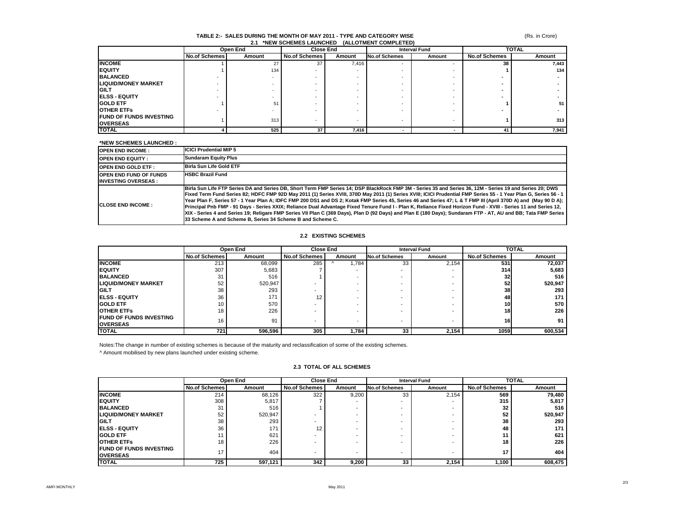#### **TABLE 2:- SALES DURING THE MONTH OF MAY 2011 - TYPE AND CATEGORY WISE 2.1 \*NEW SCHEMES LAUNCHED (ALLOTMENT COMPLETED)**

|                                                    |                      | Open End |                      | <b>Close End</b> |                          | <b>Interval Fund</b> |                      | <b>TOTAL</b> |  |
|----------------------------------------------------|----------------------|----------|----------------------|------------------|--------------------------|----------------------|----------------------|--------------|--|
|                                                    | <b>No.of Schemes</b> | Amount   | <b>No.of Schemes</b> | Amount           | <b>No.of Schemes</b>     | Amount               | <b>No.of Schemes</b> | Amount       |  |
| <b>INCOME</b>                                      |                      |          | 37                   | 7,416            | $\overline{\phantom{a}}$ |                      | 38                   | 7,443        |  |
| <b>IEQUITY</b>                                     |                      | 134      |                      |                  |                          |                      |                      | 134          |  |
| <b>BALANCED</b>                                    |                      |          |                      |                  |                          |                      |                      |              |  |
| <b>LIQUID/MONEY MARKET</b>                         |                      |          |                      |                  |                          |                      |                      |              |  |
| <b>IGILT</b>                                       |                      |          |                      |                  |                          |                      |                      |              |  |
| <b>IELSS - EQUITY</b>                              |                      |          |                      |                  |                          |                      |                      |              |  |
| <b>GOLD ETF</b>                                    |                      | 51       |                      |                  |                          |                      |                      | 51 I         |  |
| <b>OTHER ETFS</b>                                  |                      |          |                      |                  |                          |                      |                      |              |  |
| <b>IFUND OF FUNDS INVESTING</b><br><b>OVERSEAS</b> |                      | 313      |                      |                  | $\overline{\phantom{a}}$ |                      |                      | 313          |  |
| <b>TOTAL</b>                                       |                      | 525      | 37                   | 7,416            |                          |                      |                      | 7,941        |  |

#### **\*NEW SCHEMES LAUNCHED :**

| <b>OPEN END INCOME:</b>                                     | <b>ICICI Prudential MIP 5</b>                                                                                                                                                                                                                                                                                                                                                                                                                                                                                                                                                                                                                                                                                                                                                                                                                                                                             |
|-------------------------------------------------------------|-----------------------------------------------------------------------------------------------------------------------------------------------------------------------------------------------------------------------------------------------------------------------------------------------------------------------------------------------------------------------------------------------------------------------------------------------------------------------------------------------------------------------------------------------------------------------------------------------------------------------------------------------------------------------------------------------------------------------------------------------------------------------------------------------------------------------------------------------------------------------------------------------------------|
| <b>OPEN END EQUITY:</b>                                     | <b>Sundaram Equity Plus</b>                                                                                                                                                                                                                                                                                                                                                                                                                                                                                                                                                                                                                                                                                                                                                                                                                                                                               |
| <b>OPEN END GOLD ETF:</b>                                   | Birla Sun Life Gold ETF                                                                                                                                                                                                                                                                                                                                                                                                                                                                                                                                                                                                                                                                                                                                                                                                                                                                                   |
| <b>OPEN END FUND OF FUNDS</b><br><b>INVESTING OVERSEAS:</b> | <b>HSBC Brazil Fund</b>                                                                                                                                                                                                                                                                                                                                                                                                                                                                                                                                                                                                                                                                                                                                                                                                                                                                                   |
| <b>ICLOSE END INCOME:</b>                                   | Birla Sun Life FTP Series DA and Series DB. Short Term FMP Series 14: DSP BlackRock FMP 3M - Series 35 and Series 36. 12M - Series 19 and Series 20: DWS<br>Fixed Term Fund Series 82; HDFC FMP 92D May 2011 (1) Series XVIII, 370D May 2011 (1) Series XVIII; ICICI Prudential FMP Series 55 - 1 Year Plan G, Series 56 - 1<br>Year Plan F, Series 57 - 1 Year Plan A; IDFC FMP 200 DS1 and DS 2; Kotak FMP Series 45, Series 46 and Series 47; L & T FMP III (April 370D A) and (May 90 D A); $\mid$<br>Principal Pnb FMP - 91 Days - Series XXIX; Reliance Dual Advantage Fixed Tenure Fund I - Plan K, Reliance Fixed Horizon Fund - XVIII - Series 11 and Series 12,<br>XIX - Series 4 and Series 19; Religare FMP Series VII Plan C (369 Days), Plan D (92 Days) and Plan E (180 Days); Sundaram FTP - AT, AU and BB; Tata FMP Series<br>33 Scheme A and Scheme B. Series 34 Scheme B and Scheme C. |

### **2.2 EXISTING SCHEMES**

|                                                    | Open End             |         | <b>Close End</b>     |        | <b>Interval Fund</b> |        | <b>TOTAL</b>         |         |
|----------------------------------------------------|----------------------|---------|----------------------|--------|----------------------|--------|----------------------|---------|
|                                                    | <b>No.of Schemes</b> | Amount  | <b>No.of Schemes</b> | Amount | <b>No.of Schemes</b> | Amount | <b>No.of Schemes</b> | Amount  |
| <b>INCOME</b>                                      | 213                  | 68,099  | 285                  | 784،   | 33                   | 2,154  | 531                  | 72,037  |
| <b>IEQUITY</b>                                     | 307                  | 5,683   |                      |        | -                    |        | 314                  | 5,683   |
| <b>BALANCED</b>                                    | 31                   | 516     |                      |        |                      |        | 32                   | 516     |
| <b>LIQUID/MONEY MARKET</b>                         | 52                   | 520,947 |                      |        |                      | -      | 52                   | 520,947 |
| <b>IGILT</b>                                       | 38                   | 293     |                      | -      | ۰                    | -      | 38                   | 293     |
| <b>IELSS - EQUITY</b>                              | 36                   | 171     | 12                   | -      | ۰                    | -      | 48                   | 171     |
| <b>IGOLD ETF</b>                                   | 10                   | 570     |                      |        |                      |        | <b>10</b>            | 570     |
| <b>OTHER ETFS</b>                                  | 18                   | 226     |                      |        | ۰                    | -      | 18 <sup>1</sup>      | 226     |
| <b>IFUND OF FUNDS INVESTING</b><br><b>OVERSEAS</b> | 16                   | 91      |                      | -      | -                    | $\,$   | 16                   | 91      |
| <b>TOTAL</b>                                       | 721                  | 596,596 | 305                  | 1,784  | 33                   | 2,154  | 1059                 | 600,534 |

Notes:The change in number of existing schemes is because of the maturity and reclassification of some of the existing schemes.

^ Amount mobilised by new plans launched under existing scheme.

|                                                   | Open End             |         | <b>Close End</b> |        | <b>Interval Fund</b> |        | <b>TOTAL</b>         |         |
|---------------------------------------------------|----------------------|---------|------------------|--------|----------------------|--------|----------------------|---------|
|                                                   | <b>No.of Schemes</b> | Amount  | No.of Schemes    | Amount | <b>No.of Schemes</b> | Amount | <b>No.of Schemes</b> | Amount  |
| <b>INCOME</b>                                     | 214                  | 68,126  | 322              | 9,200  | 33                   | 2,154  | 569                  | 79,480  |
| <b>EQUITY</b>                                     | 308                  | 5,817   |                  |        |                      |        | 315                  | 5,817   |
| <b>BALANCED</b>                                   | 31                   | 516     |                  |        |                      |        | 32                   | 516     |
| <b>LIQUID/MONEY MARKET</b>                        | 52                   | 520,947 |                  |        |                      |        | 52                   | 520,947 |
| <b>GILT</b>                                       | 38                   | 293     |                  |        |                      |        | 38                   | 293     |
| <b>IELSS - EQUITY</b>                             | 36                   | 171     | 12               |        |                      |        | 48                   | 171     |
| <b>GOLD ETF</b>                                   |                      | 621     |                  |        |                      |        |                      | 621     |
| <b>OTHER ETFS</b>                                 | 18                   | 226     |                  |        |                      |        | 18                   | 226     |
| <b>FUND OF FUNDS INVESTING</b><br><b>OVERSEAS</b> | 17                   | 404     |                  |        |                      |        |                      | 404     |
| <b>TOTAL</b>                                      | 725                  | 597,121 | 342              | 9,200  | 33                   | 2,154  | 1,100                | 608,475 |

### **2.3 TOTAL OF ALL SCHEMES**